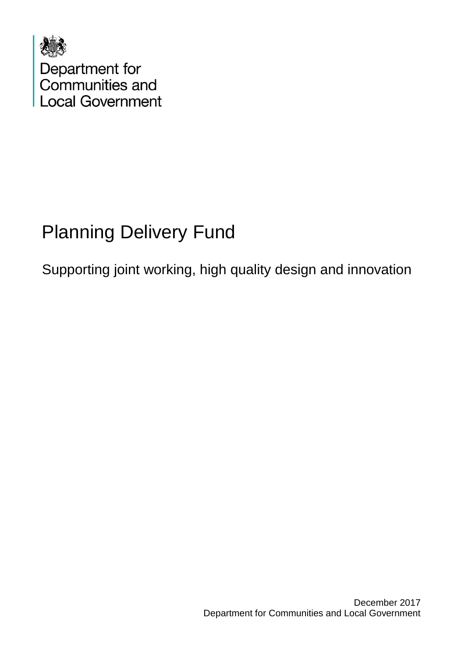

# Planning Delivery Fund

Supporting joint working, high quality design and innovation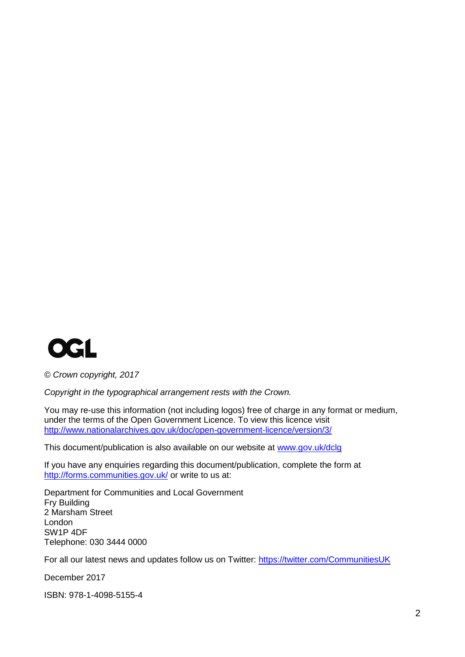

*© Crown copyright, 2017*

*Copyright in the typographical arrangement rests with the Crown.*

You may re-use this information (not including logos) free of charge in any format or medium, under the terms of the Open Government Licence. To view this licence visit <http://www.nationalarchives.gov.uk/doc/open-government-licence/version/3/>

This document/publication is also available on our website at [www.gov.uk/dclg](http://www.gov.uk/dclg)

If you have any enquiries regarding this document/publication, complete the form at <http://forms.communities.gov.uk/> or write to us at:

Department for Communities and Local Government Fry Building 2 Marsham Street London SW1P 4DF Telephone: 030 3444 0000

For all our latest news and updates follow us on Twitter:<https://twitter.com/CommunitiesUK>

December 2017

ISBN: 978-1-4098-5155-4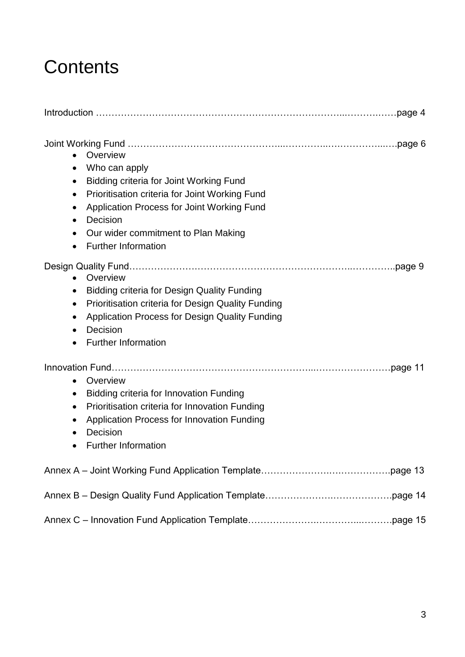# **Contents**

<span id="page-2-0"></span>

| Overview<br>Who can apply<br>$\bullet$<br><b>Bidding criteria for Joint Working Fund</b><br>$\bullet$<br>Prioritisation criteria for Joint Working Fund<br>$\bullet$<br>Application Process for Joint Working Fund<br>$\bullet$<br>Decision<br>$\bullet$<br>Our wider commitment to Plan Making<br>$\bullet$<br><b>Further Information</b><br>$\bullet$ |  |
|---------------------------------------------------------------------------------------------------------------------------------------------------------------------------------------------------------------------------------------------------------------------------------------------------------------------------------------------------------|--|
| Overview<br>$\bullet$<br><b>Bidding criteria for Design Quality Funding</b><br>$\bullet$<br>Prioritisation criteria for Design Quality Funding<br>$\bullet$<br>Application Process for Design Quality Funding<br>$\bullet$<br>Decision<br>$\bullet$<br><b>Further Information</b><br>$\bullet$                                                          |  |
| Overview<br>$\bullet$<br>Bidding criteria for Innovation Funding<br>$\bullet$<br>Prioritisation criteria for Innovation Funding<br>$\bullet$<br><b>Application Process for Innovation Funding</b><br>$\bullet$<br>Decision<br>$\bullet$<br><b>Further Information</b><br>$\bullet$                                                                      |  |
|                                                                                                                                                                                                                                                                                                                                                         |  |
|                                                                                                                                                                                                                                                                                                                                                         |  |
|                                                                                                                                                                                                                                                                                                                                                         |  |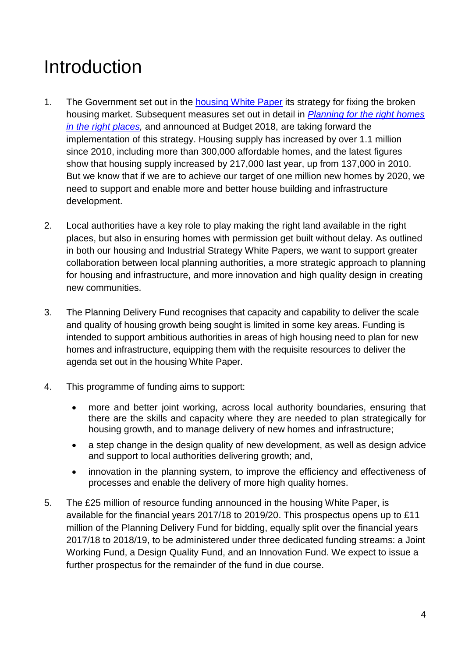# Introduction

- 1. The Government set out in the [housing White Paper](https://www.gov.uk/government/collections/housing-white-paper) its strategy for fixing the broken housing market. Subsequent measures set out in detail in *[Planning for the right homes](https://www.gov.uk/government/consultations/planning-for-the-right-homes-in-the-right-places-consultation-proposals)  [in the right places,](https://www.gov.uk/government/consultations/planning-for-the-right-homes-in-the-right-places-consultation-proposals)* and announced at Budget 2018, are taking forward the implementation of this strategy. Housing supply has increased by over 1.1 million since 2010, including more than 300,000 affordable homes, and the latest figures show that housing supply increased by 217,000 last year, up from 137,000 in 2010. But we know that if we are to achieve our target of one million new homes by 2020, we need to support and enable more and better house building and infrastructure development.
- 2. Local authorities have a key role to play making the right land available in the right places, but also in ensuring homes with permission get built without delay. As outlined in both our housing and Industrial Strategy White Papers, we want to support greater collaboration between local planning authorities, a more strategic approach to planning for housing and infrastructure, and more innovation and high quality design in creating new communities.
- 3. The Planning Delivery Fund recognises that capacity and capability to deliver the scale and quality of housing growth being sought is limited in some key areas. Funding is intended to support ambitious authorities in areas of high housing need to plan for new homes and infrastructure, equipping them with the requisite resources to deliver the agenda set out in the housing White Paper.
- 4. This programme of funding aims to support:
	- more and better joint working, across local authority boundaries, ensuring that there are the skills and capacity where they are needed to plan strategically for housing growth, and to manage delivery of new homes and infrastructure;
	- a step change in the design quality of new development, as well as design advice and support to local authorities delivering growth; and,
	- innovation in the planning system, to improve the efficiency and effectiveness of processes and enable the delivery of more high quality homes.
- 5. The £25 million of resource funding announced in the housing White Paper, is available for the financial years 2017/18 to 2019/20. This prospectus opens up to £11 million of the Planning Delivery Fund for bidding, equally split over the financial years 2017/18 to 2018/19, to be administered under three dedicated funding streams: a Joint Working Fund, a Design Quality Fund, and an Innovation Fund. We expect to issue a further prospectus for the remainder of the fund in due course.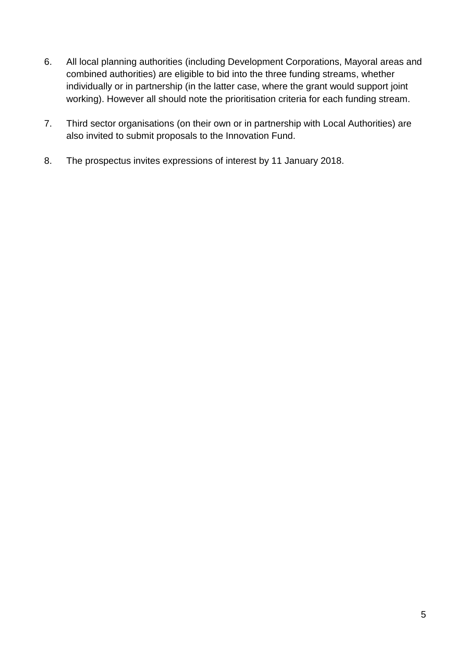- 6. All local planning authorities (including Development Corporations, Mayoral areas and combined authorities) are eligible to bid into the three funding streams, whether individually or in partnership (in the latter case, where the grant would support joint working). However all should note the prioritisation criteria for each funding stream.
- 7. Third sector organisations (on their own or in partnership with Local Authorities) are also invited to submit proposals to the Innovation Fund.
- <span id="page-4-0"></span>8. The prospectus invites expressions of interest by 11 January 2018.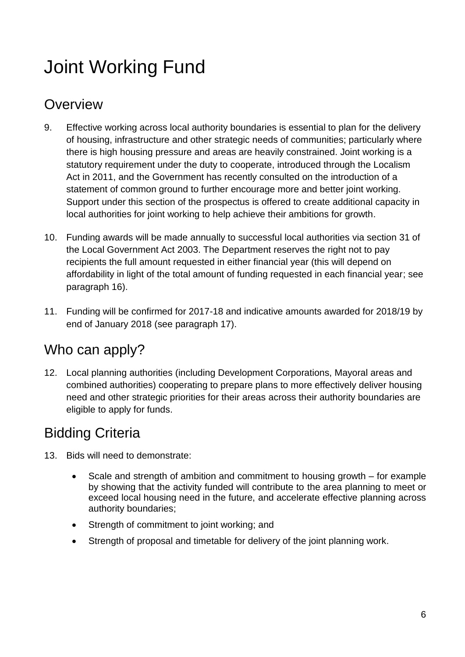# Joint Working Fund

## **Overview**

- 9. Effective working across local authority boundaries is essential to plan for the delivery of housing, infrastructure and other strategic needs of communities; particularly where there is high housing pressure and areas are heavily constrained. Joint working is a statutory requirement under the duty to cooperate, introduced through the Localism Act in 2011, and the Government has recently consulted on the introduction of a statement of common ground to further encourage more and better joint working. Support under this section of the prospectus is offered to create additional capacity in local authorities for joint working to help achieve their ambitions for growth.
- 10. Funding awards will be made annually to successful local authorities via section 31 of the Local Government Act 2003. The Department reserves the right not to pay recipients the full amount requested in either financial year (this will depend on affordability in light of the total amount of funding requested in each financial year; see paragraph 16).
- 11. Funding will be confirmed for 2017-18 and indicative amounts awarded for 2018/19 by end of January 2018 (see paragraph 17).

## Who can apply?

12. Local planning authorities (including Development Corporations, Mayoral areas and combined authorities) cooperating to prepare plans to more effectively deliver housing need and other strategic priorities for their areas across their authority boundaries are eligible to apply for funds.

# Bidding Criteria

- 13. Bids will need to demonstrate:
	- Scale and strength of ambition and commitment to housing growth for example by showing that the activity funded will contribute to the area planning to meet or exceed local housing need in the future, and accelerate effective planning across authority boundaries;
	- Strength of commitment to joint working; and
	- Strength of proposal and timetable for delivery of the joint planning work.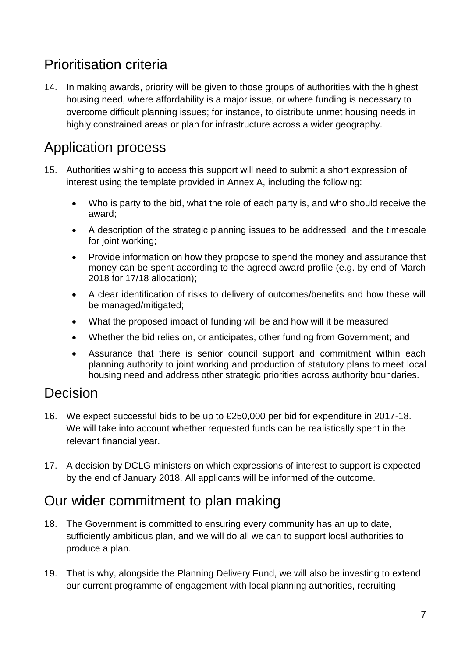# Prioritisation criteria

14. In making awards, priority will be given to those groups of authorities with the highest housing need, where affordability is a major issue, or where funding is necessary to overcome difficult planning issues; for instance, to distribute unmet housing needs in highly constrained areas or plan for infrastructure across a wider geography.

### Application process

- 15. Authorities wishing to access this support will need to submit a short expression of interest using the template provided in Annex A, including the following:
	- Who is party to the bid, what the role of each party is, and who should receive the award;
	- A description of the strategic planning issues to be addressed, and the timescale for joint working;
	- Provide information on how they propose to spend the money and assurance that money can be spent according to the agreed award profile (e.g. by end of March 2018 for 17/18 allocation);
	- A clear identification of risks to delivery of outcomes/benefits and how these will be managed/mitigated;
	- What the proposed impact of funding will be and how will it be measured
	- Whether the bid relies on, or anticipates, other funding from Government; and
	- Assurance that there is senior council support and commitment within each planning authority to joint working and production of statutory plans to meet local housing need and address other strategic priorities across authority boundaries.

### Decision

- 16. We expect successful bids to be up to £250,000 per bid for expenditure in 2017-18. We will take into account whether requested funds can be realistically spent in the relevant financial year.
- 17. A decision by DCLG ministers on which expressions of interest to support is expected by the end of January 2018. All applicants will be informed of the outcome.

### Our wider commitment to plan making

- 18. The Government is committed to ensuring every community has an up to date, sufficiently ambitious plan, and we will do all we can to support local authorities to produce a plan.
- 19. That is why, alongside the Planning Delivery Fund, we will also be investing to extend our current programme of engagement with local planning authorities, recruiting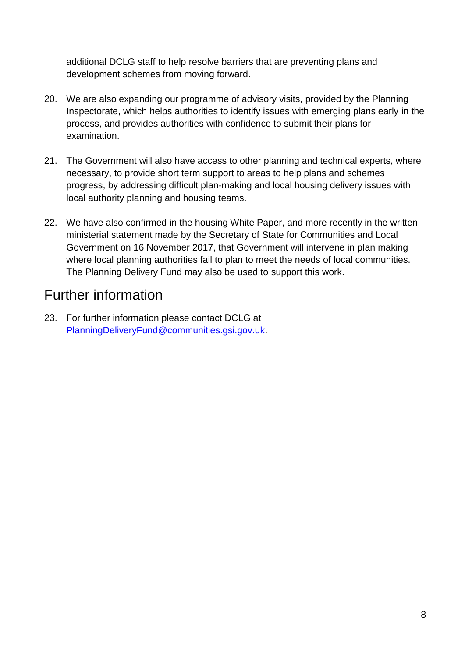additional DCLG staff to help resolve barriers that are preventing plans and development schemes from moving forward.

- 20. We are also expanding our programme of advisory visits, provided by the Planning Inspectorate, which helps authorities to identify issues with emerging plans early in the process, and provides authorities with confidence to submit their plans for examination.
- 21. The Government will also have access to other planning and technical experts, where necessary, to provide short term support to areas to help plans and schemes progress, by addressing difficult plan-making and local housing delivery issues with local authority planning and housing teams.
- 22. We have also confirmed in the housing White Paper, and more recently in the written ministerial statement made by the Secretary of State for Communities and Local Government on 16 November 2017, that Government will intervene in plan making where local planning authorities fail to plan to meet the needs of local communities. The Planning Delivery Fund may also be used to support this work.

## Further information

<span id="page-7-0"></span>23. For further information please contact DCLG at [PlanningDeliveryFund@communities.gsi.gov.uk.](mailto:PlanningDeliveryFund@communities.gsi.gov.uk)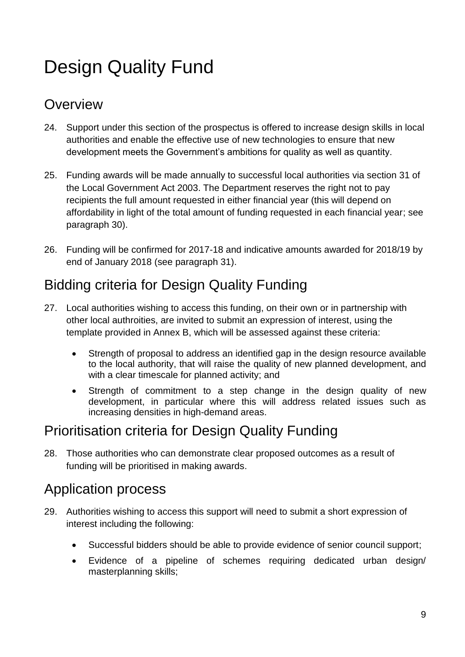# Design Quality Fund

### **Overview**

- 24. Support under this section of the prospectus is offered to increase design skills in local authorities and enable the effective use of new technologies to ensure that new development meets the Government's ambitions for quality as well as quantity.
- 25. Funding awards will be made annually to successful local authorities via section 31 of the Local Government Act 2003. The Department reserves the right not to pay recipients the full amount requested in either financial year (this will depend on affordability in light of the total amount of funding requested in each financial year; see paragraph 30).
- 26. Funding will be confirmed for 2017-18 and indicative amounts awarded for 2018/19 by end of January 2018 (see paragraph 31).

# Bidding criteria for Design Quality Funding

- 27. Local authorities wishing to access this funding, on their own or in partnership with other local authroities, are invited to submit an expression of interest, using the template provided in Annex B, which will be assessed against these criteria:
	- Strength of proposal to address an identified gap in the design resource available to the local authority, that will raise the quality of new planned development, and with a clear timescale for planned activity; and
	- Strength of commitment to a step change in the design quality of new development, in particular where this will address related issues such as increasing densities in high-demand areas.

## Prioritisation criteria for Design Quality Funding

28. Those authorities who can demonstrate clear proposed outcomes as a result of funding will be prioritised in making awards.

#### Application process

- 29. Authorities wishing to access this support will need to submit a short expression of interest including the following:
	- Successful bidders should be able to provide evidence of senior council support;
	- Evidence of a pipeline of schemes requiring dedicated urban design/ masterplanning skills;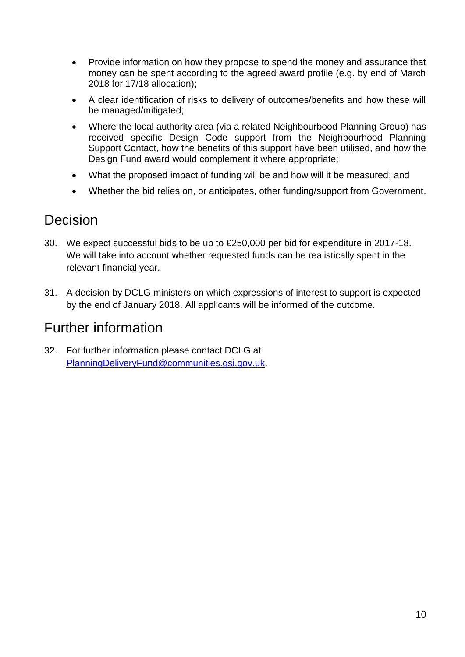- Provide information on how they propose to spend the money and assurance that money can be spent according to the agreed award profile (e.g. by end of March 2018 for 17/18 allocation);
- A clear identification of risks to delivery of outcomes/benefits and how these will be managed/mitigated;
- Where the local authority area (via a related Neighbourbood Planning Group) has received specific Design Code support from the Neighbourhood Planning Support Contact, how the benefits of this support have been utilised, and how the Design Fund award would complement it where appropriate:
- What the proposed impact of funding will be and how will it be measured; and
- Whether the bid relies on, or anticipates, other funding/support from Government.

#### Decision

- 30. We expect successful bids to be up to £250,000 per bid for expenditure in 2017-18. We will take into account whether requested funds can be realistically spent in the relevant financial year.
- 31. A decision by DCLG ministers on which expressions of interest to support is expected by the end of January 2018. All applicants will be informed of the outcome.

#### Further information

<span id="page-9-0"></span>32. For further information please contact DCLG at [PlanningDeliveryFund@communities.gsi.gov.uk.](mailto:PlanningDeliveryFund@communities.gsi.gov.uk)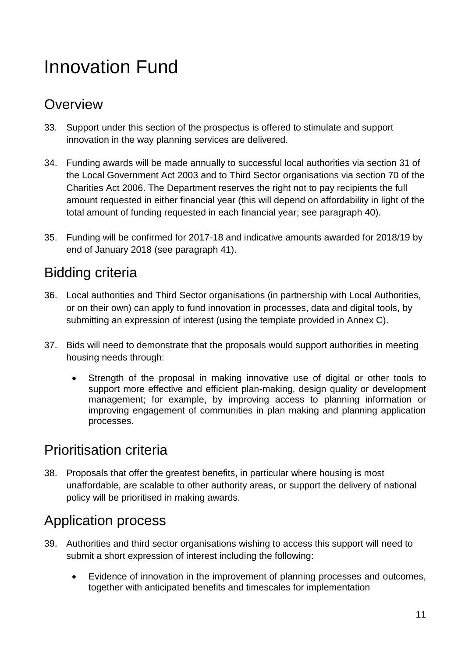# Innovation Fund

### **Overview**

- 33. Support under this section of the prospectus is offered to stimulate and support innovation in the way planning services are delivered.
- 34. Funding awards will be made annually to successful local authorities via section 31 of the Local Government Act 2003 and to Third Sector organisations via section 70 of the Charities Act 2006. The Department reserves the right not to pay recipients the full amount requested in either financial year (this will depend on affordability in light of the total amount of funding requested in each financial year; see paragraph 40).
- 35. Funding will be confirmed for 2017-18 and indicative amounts awarded for 2018/19 by end of January 2018 (see paragraph 41).

## Bidding criteria

- 36. Local authorities and Third Sector organisations (in partnership with Local Authorities, or on their own) can apply to fund innovation in processes, data and digital tools, by submitting an expression of interest (using the template provided in Annex C).
- 37. Bids will need to demonstrate that the proposals would support authorities in meeting housing needs through:
	- Strength of the proposal in making innovative use of digital or other tools to support more effective and efficient plan-making, design quality or development management; for example, by improving access to planning information or improving engagement of communities in plan making and planning application processes.

### Prioritisation criteria

38. Proposals that offer the greatest benefits, in particular where housing is most unaffordable, are scalable to other authority areas, or support the delivery of national policy will be prioritised in making awards.

### Application process

- 39. Authorities and third sector organisations wishing to access this support will need to submit a short expression of interest including the following:
	- Evidence of innovation in the improvement of planning processes and outcomes, together with anticipated benefits and timescales for implementation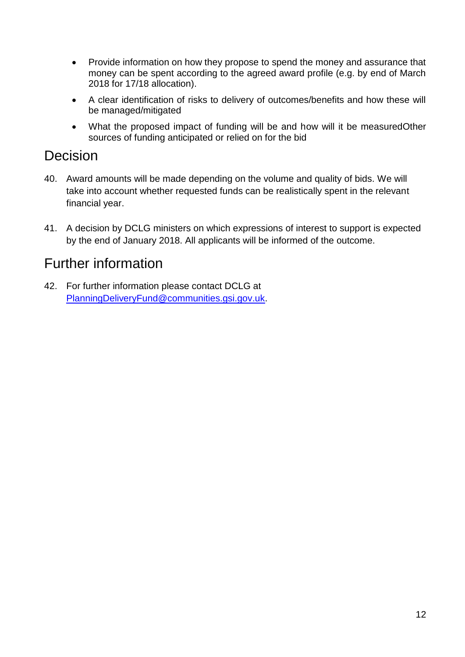- Provide information on how they propose to spend the money and assurance that money can be spent according to the agreed award profile (e.g. by end of March 2018 for 17/18 allocation).
- A clear identification of risks to delivery of outcomes/benefits and how these will be managed/mitigated
- What the proposed impact of funding will be and how will it be measuredOther sources of funding anticipated or relied on for the bid

#### Decision

- 40. Award amounts will be made depending on the volume and quality of bids. We will take into account whether requested funds can be realistically spent in the relevant financial year.
- 41. A decision by DCLG ministers on which expressions of interest to support is expected by the end of January 2018. All applicants will be informed of the outcome.

## Further information

<span id="page-11-0"></span>42. For further information please contact DCLG at [PlanningDeliveryFund@communities.gsi.gov.uk.](mailto:PlanningDeliveryFund@communities.gsi.gov.uk)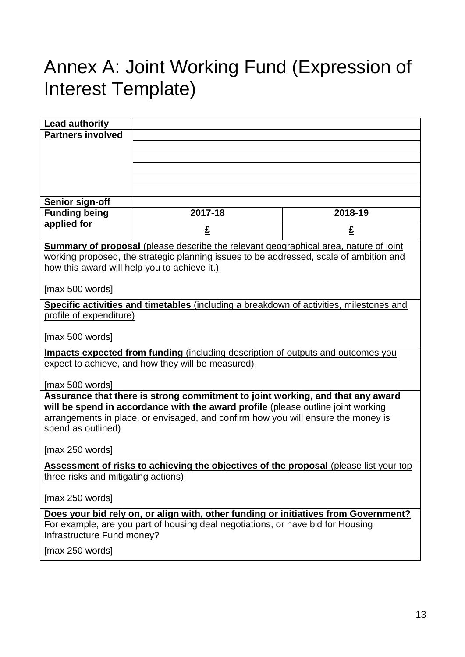# Annex A: Joint Working Fund (Expression of Interest Template)

<span id="page-12-0"></span>

| <b>Lead authority</b>                                                                                         |                                                                                         |         |  |  |
|---------------------------------------------------------------------------------------------------------------|-----------------------------------------------------------------------------------------|---------|--|--|
| <b>Partners involved</b>                                                                                      |                                                                                         |         |  |  |
|                                                                                                               |                                                                                         |         |  |  |
|                                                                                                               |                                                                                         |         |  |  |
|                                                                                                               |                                                                                         |         |  |  |
|                                                                                                               |                                                                                         |         |  |  |
| Senior sign-off                                                                                               |                                                                                         |         |  |  |
| <b>Funding being</b>                                                                                          | 2017-18                                                                                 | 2018-19 |  |  |
| applied for                                                                                                   | £                                                                                       | £       |  |  |
| <b>Summary of proposal</b> (please describe the relevant geographical area, nature of joint                   |                                                                                         |         |  |  |
|                                                                                                               | working proposed, the strategic planning issues to be addressed, scale of ambition and  |         |  |  |
| how this award will help you to achieve it.)                                                                  |                                                                                         |         |  |  |
| [max 500 words]                                                                                               |                                                                                         |         |  |  |
|                                                                                                               | Specific activities and timetables (including a breakdown of activities, milestones and |         |  |  |
| profile of expenditure)                                                                                       |                                                                                         |         |  |  |
| [max 500 words]                                                                                               |                                                                                         |         |  |  |
| Impacts expected from funding (including description of outputs and outcomes you                              |                                                                                         |         |  |  |
| expect to achieve, and how they will be measured)                                                             |                                                                                         |         |  |  |
| [max 500 words]                                                                                               |                                                                                         |         |  |  |
|                                                                                                               | Assurance that there is strong commitment to joint working, and that any award          |         |  |  |
| will be spend in accordance with the award profile (please outline joint working                              |                                                                                         |         |  |  |
| arrangements in place, or envisaged, and confirm how you will ensure the money is                             |                                                                                         |         |  |  |
| spend as outlined)                                                                                            |                                                                                         |         |  |  |
| [max 250 words]                                                                                               |                                                                                         |         |  |  |
| Assessment of risks to achieving the objectives of the proposal (please list your top                         |                                                                                         |         |  |  |
| three risks and mitigating actions)                                                                           |                                                                                         |         |  |  |
| [max 250 words]                                                                                               |                                                                                         |         |  |  |
| Does your bid rely on, or align with, other funding or initiatives from Government?                           |                                                                                         |         |  |  |
| For example, are you part of housing deal negotiations, or have bid for Housing<br>Infrastructure Fund money? |                                                                                         |         |  |  |
|                                                                                                               |                                                                                         |         |  |  |
| [max 250 words]                                                                                               |                                                                                         |         |  |  |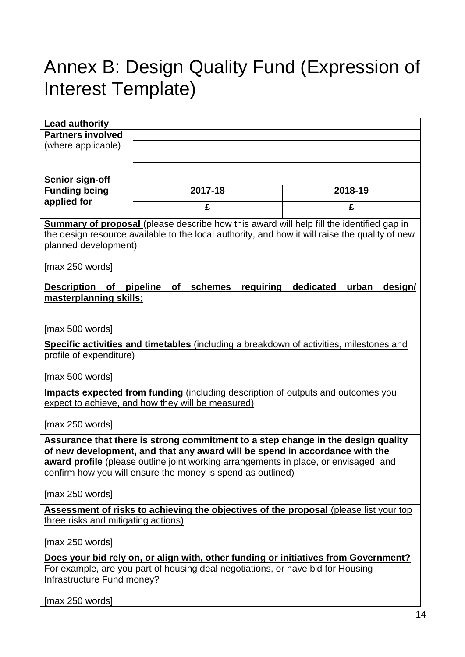# Annex B: Design Quality Fund (Expression of Interest Template)